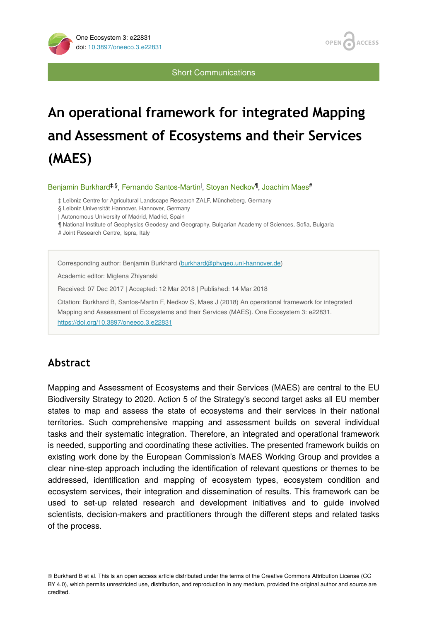

Short Communications

# **An operational framework for integrated Mapping and Assessment of Ecosystems and their Services (MAES)**

Benjamin Burkhard<sup>‡,§</sup>, Fernando Santos-Martin<sup>|</sup>, Stoyan Nedkov<sup>¶</sup>, Joachim Maes<sup>#</sup>

‡ Leibniz Centre for Agricultural Landscape Research ZALF, Müncheberg, Germany

§ Leibniz Universität Hannover, Hannover, Germany

| Autonomous University of Madrid, Madrid, Spain

¶ National Institute of Geophysics Geodesy and Geography, Bulgarian Academy of Sciences, Sofia, Bulgaria

# Joint Research Centre, Ispra, Italy

Corresponding author: Benjamin Burkhard [\(burkhard@phygeo.uni-hannover.de](mailto:burkhard@phygeo.uni-hannover.de))

Academic editor: Miglena Zhiyanski

Received: 07 Dec 2017 | Accepted: 12 Mar 2018 | Published: 14 Mar 2018

Citation: Burkhard B, Santos-Martin F, Nedkov S, Maes J (2018) An operational framework for integrated Mapping and Assessment of Ecosystems and their Services (MAES). One Ecosystem 3: e22831. <https://doi.org/10.3897/oneeco.3.e22831>

## **Abstract**

Mapping and Assessment of Ecosystems and their Services (MAES) are central to the EU Biodiversity Strategy to 2020. Action 5 of the Strategy's second target asks all EU member states to map and assess the state of ecosystems and their services in their national territories. Such comprehensive mapping and assessment builds on several individual tasks and their systematic integration. Therefore, an integrated and operational framework is needed, supporting and coordinating these activities. The presented framework builds on existing work done by the European Commission's MAES Working Group and provides a clear nine-step approach including the identification of relevant questions or themes to be addressed, identification and mapping of ecosystem types, ecosystem condition and ecosystem services, their integration and dissemination of results. This framework can be used to set-up related research and development initiatives and to guide involved scientists, decision-makers and practitioners through the different steps and related tasks of the process.

© Burkhard B et al. This is an open access article distributed under the terms of the Creative Commons Attribution License (CC BY 4.0), which permits unrestricted use, distribution, and reproduction in any medium, provided the original author and source are credited.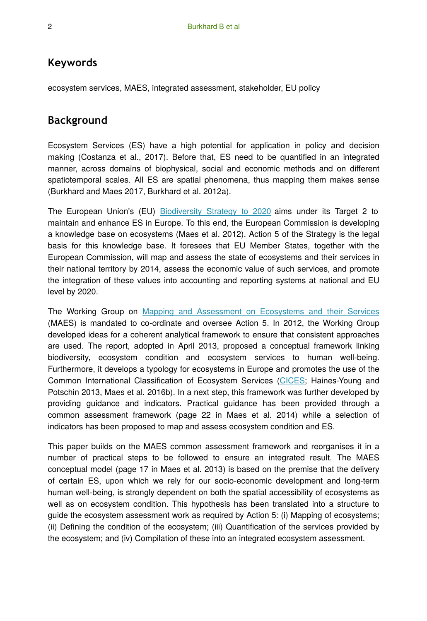#### **Keywords**

ecosystem services, MAES, integrated assessment, stakeholder, EU policy

## **Background**

Ecosystem Services (ES) have a high potential for application in policy and decision making (Costanza et al., 2017). Before that, ES need to be quantified in an integrated manner, across domains of biophysical, social and economic methods and on different spatiotemporal scales. All ES are spatial phenomena, thus mapping them makes sense (Burkhard and Maes 2017, Burkhard et al. 2012a).

The European Union's (EU) [Biodiversity Strategy to 2020](http://ec.europa.eu/environment/nature/biodiversity/strategy/index_en.htm) aims under its Target 2 to maintain and enhance ES in Europe. To this end, the European Commission is developing a knowledge base on ecosystems (Maes et al. 2012). Action 5 of the Strategy is the legal basis for this knowledge base. It foresees that EU Member States, together with the European Commission, will map and assess the state of ecosystems and their services in their national territory by 2014, assess the economic value of such services, and promote the integration of these values into accounting and reporting systems at national and EU level by 2020.

The Working Group on [Mapping and Assessment on Ecosystems and their Services](http://biodiversity.europa.eu/maes) (MAES) is mandated to co-ordinate and oversee Action 5. In 2012, the Working Group developed ideas for a coherent analytical framework to ensure that consistent approaches are used. The report, adopted in April 2013, proposed a conceptual framework linking biodiversity, ecosystem condition and ecosystem services to human well-being. Furthermore, it develops a typology for ecosystems in Europe and promotes the use of the Common International Classification of Ecosystem Services [\(CICES;](http://cices.eu/) Haines-Young and Potschin 2013, Maes et al. 2016b). In a next step, this framework was further developed by providing guidance and indicators. Practical guidance has been provided through a common assessment framework (page 22 in Maes et al. 2014) while a selection of indicators has been proposed to map and assess ecosystem condition and ES.

This paper builds on the MAES common assessment framework and reorganises it in a number of practical steps to be followed to ensure an integrated result. The MAES conceptual model (page 17 in Maes et al. 2013) is based on the premise that the delivery of certain ES, upon which we rely for our socio-economic development and long-term human well-being, is strongly dependent on both the spatial accessibility of ecosystems as well as on ecosystem condition. This hypothesis has been translated into a structure to guide the ecosystem assessment work as required by Action 5: (i) Mapping of ecosystems; (ii) Defining the condition of the ecosystem; (iii) Quantification of the services provided by the ecosystem; and (iv) Compilation of these into an integrated ecosystem assessment.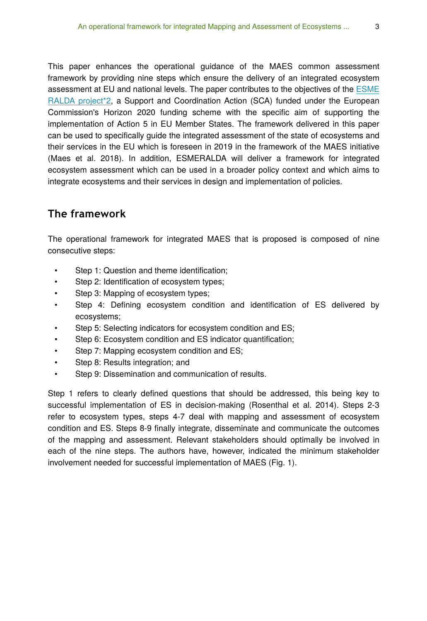This paper enhances the operational guidance of the MAES common assessment framework by providing nine steps which ensure the delivery of an integrated ecosystem assessment at EU and national levels. The paper contributes to the objectives of the [ESME](http://www.esmeralda-project.eu/) [RALDA project\\*2](http://www.esmeralda-project.eu/), a Support and Coordination Action (SCA) funded under the European Commission's Horizon 2020 funding scheme with the specific aim of supporting the implementation of Action 5 in EU Member States. The framework delivered in this paper can be used to specifically guide the integrated assessment of the state of ecosystems and their services in the EU which is foreseen in 2019 in the framework of the MAES initiative (Maes et al. 2018). In addition, ESMERALDA will deliver a framework for integrated ecosystem assessment which can be used in a broader policy context and which aims to integrate ecosystems and their services in design and implementation of policies.

## **The framework**

The operational framework for integrated MAES that is proposed is composed of nine consecutive steps:

- Step 1: Question and theme identification;
- Step 2: Identification of ecosystem types;
- Step 3: Mapping of ecosystem types;
- Step 4: Defining ecosystem condition and identification of ES delivered by ecosystems;
- Step 5: Selecting indicators for ecosystem condition and ES;
- Step 6: Ecosystem condition and ES indicator quantification;
- Step 7: Mapping ecosystem condition and ES;
- Step 8: Results integration; and
- Step 9: Dissemination and communication of results.

Step 1 refers to clearly defined questions that should be addressed, this being key to successful implementation of ES in decision-making (Rosenthal et al. 2014). Steps 2-3 refer to ecosystem types, steps 4-7 deal with mapping and assessment of ecosystem condition and ES. Steps 8-9 finally integrate, disseminate and communicate the outcomes of the mapping and assessment. Relevant stakeholders should optimally be involved in each of the nine steps. The authors have, however, indicated the minimum stakeholder involvement needed for successful implementation of MAES (Fig. 1).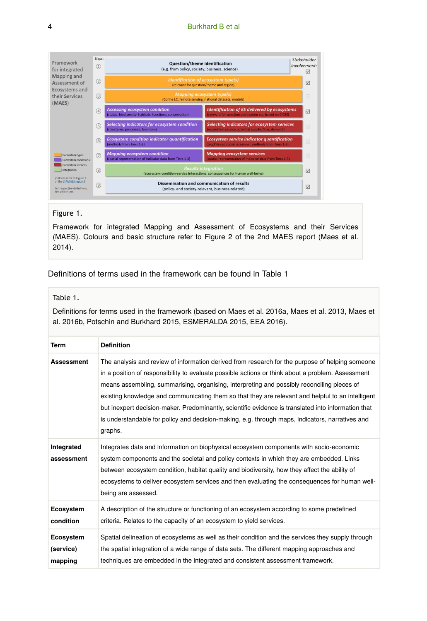

#### Figure 1.

Framework for integrated Mapping and Assessment of Ecosystems and their Services (MAES). Colours and basic structure refer to Figure 2 of the 2nd MAES report (Maes et al. 2014).

Definitions of terms used in the framework can be found in Table 1

#### Table 1.

Definitions for terms used in the framework (based on Maes et al. 2016a, Maes et al. 2013, Maes et al. 2016b, Potschin and Burkhard 2015, ESMERALDA 2015, EEA 2016).

| Term                              | <b>Definition</b>                                                                                                                                                                                                                                                                                                                                                                                                                                                                                                                                                                                                            |
|-----------------------------------|------------------------------------------------------------------------------------------------------------------------------------------------------------------------------------------------------------------------------------------------------------------------------------------------------------------------------------------------------------------------------------------------------------------------------------------------------------------------------------------------------------------------------------------------------------------------------------------------------------------------------|
| <b>Assessment</b>                 | The analysis and review of information derived from research for the purpose of helping someone<br>in a position of responsibility to evaluate possible actions or think about a problem. Assessment<br>means assembling, summarising, organising, interpreting and possibly reconciling pieces of<br>existing knowledge and communicating them so that they are relevant and helpful to an intelligent<br>but inexpert decision-maker. Predominantly, scientific evidence is translated into information that<br>is understandable for policy and decision-making, e.g. through maps, indicators, narratives and<br>graphs. |
| Integrated<br>assessment          | Integrates data and information on biophysical ecosystem components with socio-economic<br>system components and the societal and policy contexts in which they are embedded. Links<br>between ecosystem condition, habitat quality and biodiversity, how they affect the ability of<br>ecosystems to deliver ecosystem services and then evaluating the consequences for human well-<br>being are assessed.                                                                                                                                                                                                                 |
| Ecosystem<br>condition            | A description of the structure or functioning of an ecosystem according to some predefined<br>criteria. Relates to the capacity of an ecosystem to yield services.                                                                                                                                                                                                                                                                                                                                                                                                                                                           |
| Ecosystem<br>(service)<br>mapping | Spatial delineation of ecosystems as well as their condition and the services they supply through<br>the spatial integration of a wide range of data sets. The different mapping approaches and<br>techniques are embedded in the integrated and consistent assessment framework.                                                                                                                                                                                                                                                                                                                                            |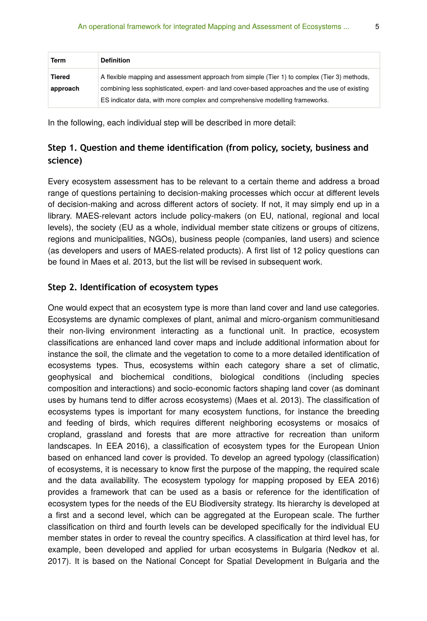| Term     | <b>Definition</b>                                                                             |
|----------|-----------------------------------------------------------------------------------------------|
| Tiered   | A flexible mapping and assessment approach from simple (Tier 1) to complex (Tier 3) methods,  |
| approach | combining less sophisticated, expert- and land cover-based approaches and the use of existing |
|          | ES indicator data, with more complex and comprehensive modelling frameworks.                  |

In the following, each individual step will be described in more detail:

## **Step 1. Question and theme identification (from policy, society, business and science)**

Every ecosystem assessment has to be relevant to a certain theme and address a broad range of questions pertaining to decision-making processes which occur at different levels of decision-making and across different actors of society. If not, it may simply end up in a library. MAES-relevant actors include policy-makers (on EU, national, regional and local levels), the society (EU as a whole, individual member state citizens or groups of citizens, regions and municipalities, NGOs), business people (companies, land users) and science (as developers and users of MAES-related products). A first list of 12 policy questions can be found in Maes et al. 2013, but the list will be revised in subsequent work.

#### **Step 2. Identification of ecosystem types**

One would expect that an ecosystem type is more than land cover and land use categories. Ecosystems are dynamic complexes of plant, animal and micro-organism communitiesand their non-living environment interacting as a functional unit. In practice, ecosystem classifications are enhanced land cover maps and include additional information about for instance the soil, the climate and the vegetation to come to a more detailed identification of ecosystems types. Thus, ecosystems within each category share a set of climatic, geophysical and biochemical conditions, biological conditions (including species composition and interactions) and socio-economic factors shaping land cover (as dominant uses by humans tend to differ across ecosystems) (Maes et al. 2013). The classification of ecosystems types is important for many ecosystem functions, for instance the breeding and feeding of birds, which requires different neighboring ecosystems or mosaics of cropland, grassland and forests that are more attractive for recreation than uniform landscapes. In EEA 2016), a classification of ecosystem types for the European Union based on enhanced land cover is provided. To develop an agreed typology (classification) of ecosystems, it is necessary to know first the purpose of the mapping, the required scale and the data availability. The ecosystem typology for mapping proposed by EEA 2016) provides a framework that can be used as a basis or reference for the identification of ecosystem types for the needs of the EU Biodiversity strategy. Its hierarchy is developed at a first and a second level, which can be aggregated at the European scale. The further classification on third and fourth levels can be developed specifically for the individual EU member states in order to reveal the country specifics. A classification at third level has, for example, been developed and applied for urban ecosystems in Bulgaria (Nedkov et al. 2017). It is based on the National Concept for Spatial Development in Bulgaria and the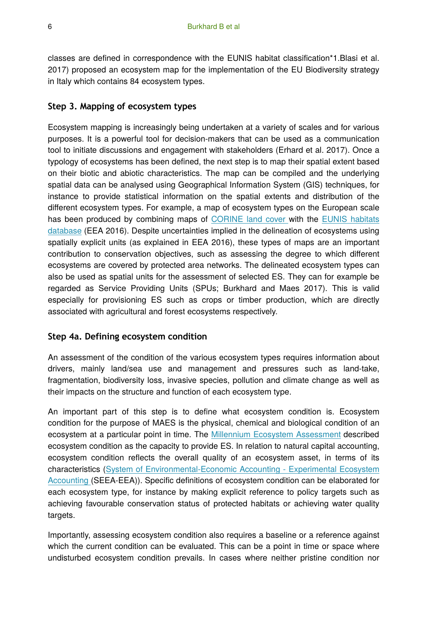classes are defined in correspondence with the EUNIS habitat classification\*1.Blasi et al. 2017) proposed an ecosystem map for the implementation of the EU Biodiversity strategy in Italy which contains 84 ecosystem types.

#### **Step 3. Mapping of ecosystem types**

Ecosystem mapping is increasingly being undertaken at a variety of scales and for various purposes. It is a powerful tool for decision-makers that can be used as a communication tool to initiate discussions and engagement with stakeholders (Erhard et al. 2017). Once a typology of ecosystems has been defined, the next step is to map their spatial extent based on their biotic and abiotic characteristics. The map can be compiled and the underlying spatial data can be analysed using Geographical Information System (GIS) techniques, for instance to provide statistical information on the spatial extents and distribution of the different ecosystem types. For example, a map of ecosystem types on the European scale has been produced by combining maps of [CORINE land cover](http://land.copernicus.eu/pan-european/corine-land-cover) with the [EUNIS habitats](https://eunis.eea.europa.eu/) [database](https://eunis.eea.europa.eu/) (EEA 2016). Despite uncertainties implied in the delineation of ecosystems using spatially explicit units (as explained in EEA 2016), these types of maps are an important contribution to conservation objectives, such as assessing the degree to which different ecosystems are covered by protected area networks. The delineated ecosystem types can also be used as spatial units for the assessment of selected ES. They can for example be regarded as Service Providing Units (SPUs; Burkhard and Maes 2017). This is valid especially for provisioning ES such as crops or timber production, which are directly associated with agricultural and forest ecosystems respectively.

#### **Step 4a. Defining ecosystem condition**

An assessment of the condition of the various ecosystem types requires information about drivers, mainly land/sea use and management and pressures such as land-take, fragmentation, biodiversity loss, invasive species, pollution and climate change as well as their impacts on the structure and function of each ecosystem type.

An important part of this step is to define what ecosystem condition is. Ecosystem condition for the purpose of MAES is the physical, chemical and biological condition of an ecosystem at a particular point in time. The [Millennium Ecosystem Assessment](https://www.millenniumassessment.org/) described ecosystem condition as the capacity to provide ES. In relation to natural capital accounting, ecosystem condition reflects the overall quality of an ecosystem asset, in terms of its characteristics ([System of Environmental-Economic Accounting - Experimental Ecosystem](https://unstats.un.org/unsd/envaccounting/eea_project/default.asp) [Accounting \(](https://unstats.un.org/unsd/envaccounting/eea_project/default.asp)SEEA-EEA)). Specific definitions of ecosystem condition can be elaborated for each ecosystem type, for instance by making explicit reference to policy targets such as achieving favourable conservation status of protected habitats or achieving water quality targets.

Importantly, assessing ecosystem condition also requires a baseline or a reference against which the current condition can be evaluated. This can be a point in time or space where undisturbed ecosystem condition prevails. In cases where neither pristine condition nor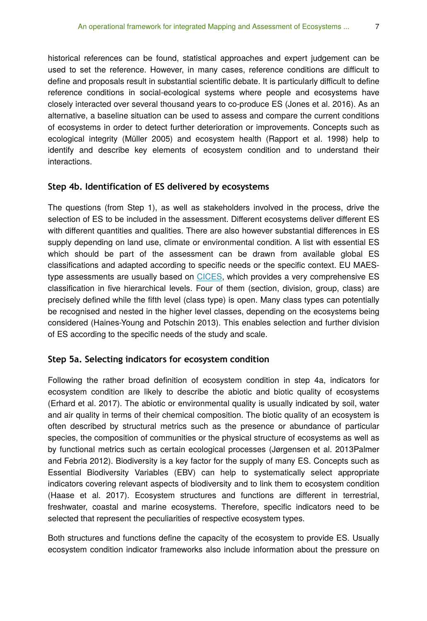historical references can be found, statistical approaches and expert judgement can be used to set the reference. However, in many cases, reference conditions are difficult to define and proposals result in substantial scientific debate. It is particularly difficult to define reference conditions in social-ecological systems where people and ecosystems have closely interacted over several thousand years to co-produce ES (Jones et al. 2016). As an alternative, a baseline situation can be used to assess and compare the current conditions of ecosystems in order to detect further deterioration or improvements. Concepts such as ecological integrity (Müller 2005) and ecosystem health (Rapport et al. 1998) help to identify and describe key elements of ecosystem condition and to understand their interactions.

#### **Step 4b. Identification of ES delivered by ecosystems**

The questions (from Step 1), as well as stakeholders involved in the process, drive the selection of ES to be included in the assessment. Different ecosystems deliver different ES with different quantities and qualities. There are also however substantial differences in ES supply depending on land use, climate or environmental condition. A list with essential ES which should be part of the assessment can be drawn from available global ES classifications and adapted according to specific needs or the specific context. EU MAEStype assessments are usually based on [CICES](https://cices.eu/), which provides a very comprehensive ES classification in five hierarchical levels. Four of them (section, division, group, class) are precisely defined while the fifth level (class type) is open. Many class types can potentially be recognised and nested in the higher level classes, depending on the ecosystems being considered (Haines-Young and Potschin 2013). This enables selection and further division of ES according to the specific needs of the study and scale.

#### **Step 5a. Selecting indicators for ecosystem condition**

Following the rather broad definition of ecosystem condition in step 4a, indicators for ecosystem condition are likely to describe the abiotic and biotic quality of ecosystems (Erhard et al. 2017). The abiotic or environmental quality is usually indicated by soil, water and air quality in terms of their chemical composition. The biotic quality of an ecosystem is often described by structural metrics such as the presence or abundance of particular species, the composition of communities or the physical structure of ecosystems as well as by functional metrics such as certain ecological processes (Jørgensen et al. 2013Palmer and Febria 2012). Biodiversity is a key factor for the supply of many ES. Concepts such as Essential Biodiversity Variables (EBV) can help to systematically select appropriate indicators covering relevant aspects of biodiversity and to link them to ecosystem condition (Haase et al. 2017). Ecosystem structures and functions are different in terrestrial, freshwater, coastal and marine ecosystems. Therefore, specific indicators need to be selected that represent the peculiarities of respective ecosystem types.

Both structures and functions define the capacity of the ecosystem to provide ES. Usually ecosystem condition indicator frameworks also include information about the pressure on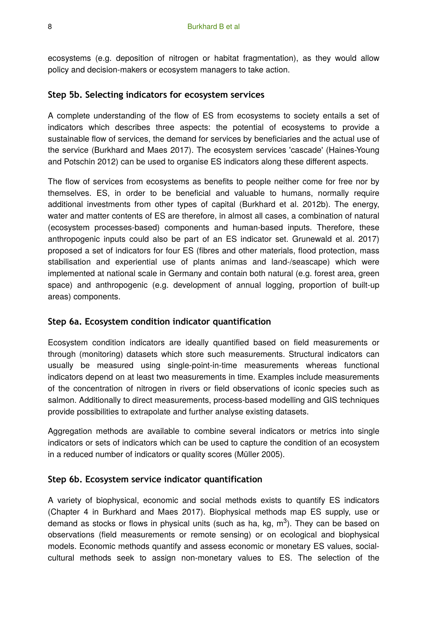ecosystems (e.g. deposition of nitrogen or habitat fragmentation), as they would allow policy and decision-makers or ecosystem managers to take action.

#### **Step 5b. Selecting indicators for ecosystem services**

A complete understanding of the flow of ES from ecosystems to society entails a set of indicators which describes three aspects: the potential of ecosystems to provide a sustainable flow of services, the demand for services by beneficiaries and the actual use of the service (Burkhard and Maes 2017). The ecosystem services 'cascade' (Haines-Young and Potschin 2012) can be used to organise ES indicators along these different aspects.

The flow of services from ecosystems as benefits to people neither come for free nor by themselves. ES, in order to be beneficial and valuable to humans, normally require additional investments from other types of capital (Burkhard et al. 2012b). The energy, water and matter contents of ES are therefore, in almost all cases, a combination of natural (ecosystem processes-based) components and human-based inputs. Therefore, these anthropogenic inputs could also be part of an ES indicator set. Grunewald et al. 2017) proposed a set of indicators for four ES (fibres and other materials, flood protection, mass stabilisation and experiential use of plants animas and land-/seascape) which were implemented at national scale in Germany and contain both natural (e.g. forest area, green space) and anthropogenic (e.g. development of annual logging, proportion of built-up areas) components.

#### **Step 6a. Ecosystem condition indicator quantification**

Ecosystem condition indicators are ideally quantified based on field measurements or through (monitoring) datasets which store such measurements. Structural indicators can usually be measured using single-point-in-time measurements whereas functional indicators depend on at least two measurements in time. Examples include measurements of the concentration of nitrogen in rivers or field observations of iconic species such as salmon. Additionally to direct measurements, process-based modelling and GIS techniques provide possibilities to extrapolate and further analyse existing datasets.

Aggregation methods are available to combine several indicators or metrics into single indicators or sets of indicators which can be used to capture the condition of an ecosystem in a reduced number of indicators or quality scores (Müller 2005).

#### **Step 6b. Ecosystem service indicator quantification**

A variety of biophysical, economic and social methods exists to quantify ES indicators (Chapter 4 in Burkhard and Maes 2017). Biophysical methods map ES supply, use or demand as stocks or flows in physical units (such as ha, kg,  $m^3$ ). They can be based on observations (field measurements or remote sensing) or on ecological and biophysical models. Economic methods quantify and assess economic or monetary ES values, socialcultural methods seek to assign non-monetary values to ES. The selection of the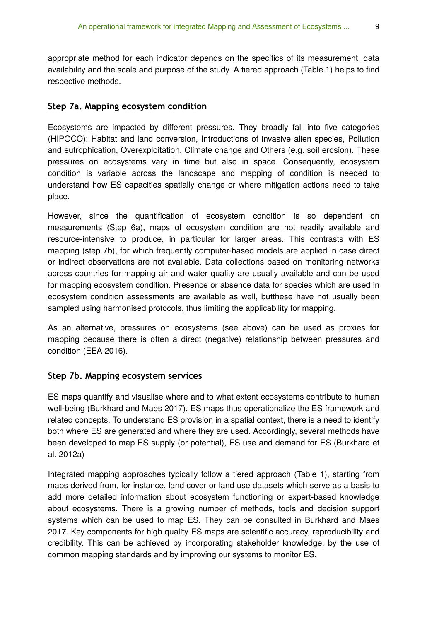appropriate method for each indicator depends on the specifics of its measurement, data availability and the scale and purpose of the study. A tiered approach (Table 1) helps to find respective methods.

#### **Step 7a. Mapping ecosystem condition**

Ecosystems are impacted by different pressures. They broadly fall into five categories (HIPOCO): Habitat and land conversion, Introductions of invasive alien species, Pollution and eutrophication, Overexploitation, Climate change and Others (e.g. soil erosion). These pressures on ecosystems vary in time but also in space. Consequently, ecosystem condition is variable across the landscape and mapping of condition is needed to understand how ES capacities spatially change or where mitigation actions need to take place.

However, since the quantification of ecosystem condition is so dependent on measurements (Step 6a), maps of ecosystem condition are not readily available and resource-intensive to produce, in particular for larger areas. This contrasts with ES mapping (step 7b), for which frequently computer-based models are applied in case direct or indirect observations are not available. Data collections based on monitoring networks across countries for mapping air and water quality are usually available and can be used for mapping ecosystem condition. Presence or absence data for species which are used in ecosystem condition assessments are available as well, butthese have not usually been sampled using harmonised protocols, thus limiting the applicability for mapping.

As an alternative, pressures on ecosystems (see above) can be used as proxies for mapping because there is often a direct (negative) relationship between pressures and condition (EEA 2016).

#### **Step 7b. Mapping ecosystem services**

ES maps quantify and visualise where and to what extent ecosystems contribute to human well-being (Burkhard and Maes 2017). ES maps thus operationalize the ES framework and related concepts. To understand ES provision in a spatial context, there is a need to identify both where ES are generated and where they are used. Accordingly, several methods have been developed to map ES supply (or potential), ES use and demand for ES (Burkhard et al. 2012a)

Integrated mapping approaches typically follow a tiered approach (Table 1), starting from maps derived from, for instance, land cover or land use datasets which serve as a basis to add more detailed information about ecosystem functioning or expert-based knowledge about ecosystems. There is a growing number of methods, tools and decision support systems which can be used to map ES. They can be consulted in Burkhard and Maes 2017. Key components for high quality ES maps are scientific accuracy, reproducibility and credibility. This can be achieved by incorporating stakeholder knowledge, by the use of common mapping standards and by improving our systems to monitor ES.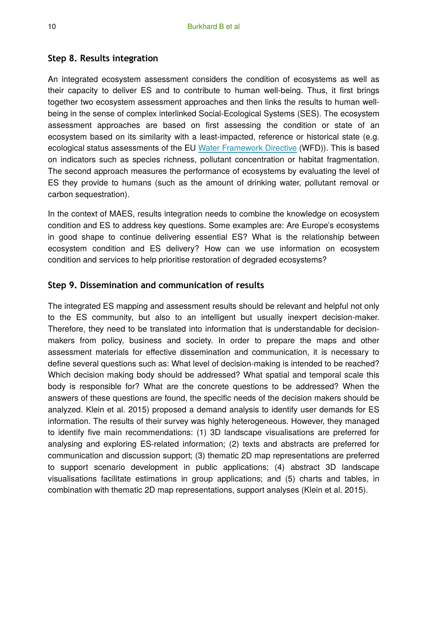#### **Step 8. Results integration**

An integrated ecosystem assessment considers the condition of ecosystems as well as their capacity to deliver ES and to contribute to human well-being. Thus, it first brings together two ecosystem assessment approaches and then links the results to human wellbeing in the sense of complex interlinked Social-Ecological Systems (SES). The ecosystem assessment approaches are based on first assessing the condition or state of an ecosystem based on its similarity with a least-impacted, reference or historical state (e.g. ecological status assessments of the EU [Water Framework Directive](http://ec.europa.eu/environment/water/water-framework/index_en.html) (WFD)). This is based on indicators such as species richness, pollutant concentration or habitat fragmentation. The second approach measures the performance of ecosystems by evaluating the level of ES they provide to humans (such as the amount of drinking water, pollutant removal or carbon sequestration).

In the context of MAES, results integration needs to combine the knowledge on ecosystem condition and ES to address key questions. Some examples are: Are Europe's ecosystems in good shape to continue delivering essential ES? What is the relationship between ecosystem condition and ES delivery? How can we use information on ecosystem condition and services to help prioritise restoration of degraded ecosystems?

#### **Step 9. Dissemination and communication of results**

The integrated ES mapping and assessment results should be relevant and helpful not only to the ES community, but also to an intelligent but usually inexpert decision-maker. Therefore, they need to be translated into information that is understandable for decisionmakers from policy, business and society. In order to prepare the maps and other assessment materials for effective dissemination and communication, it is necessary to define several questions such as: What level of decision-making is intended to be reached? Which decision making body should be addressed? What spatial and temporal scale this body is responsible for? What are the concrete questions to be addressed? When the answers of these questions are found, the specific needs of the decision makers should be analyzed. Klein et al. 2015) proposed a demand analysis to identify user demands for ES information. The results of their survey was highly heterogeneous. However, they managed to identify five main recommendations: (1) 3D landscape visualisations are preferred for analysing and exploring ES-related information; (2) texts and abstracts are preferred for communication and discussion support; (3) thematic 2D map representations are preferred to support scenario development in public applications; (4) abstract 3D landscape visualisations facilitate estimations in group applications; and (5) charts and tables, in combination with thematic 2D map representations, support analyses (Klein et al. 2015).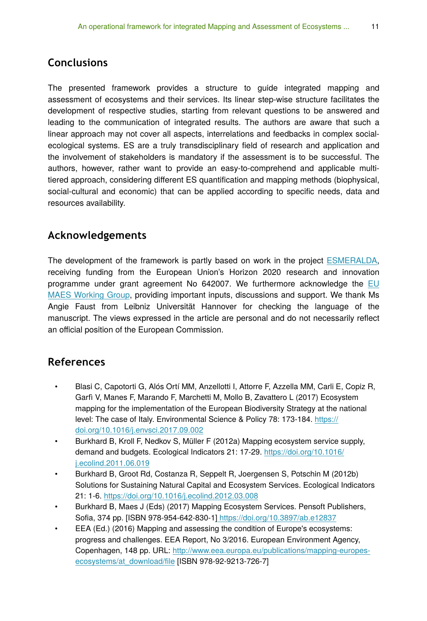## **Conclusions**

The presented framework provides a structure to guide integrated mapping and assessment of ecosystems and their services. Its linear step-wise structure facilitates the development of respective studies, starting from relevant questions to be answered and leading to the communication of integrated results. The authors are aware that such a linear approach may not cover all aspects, interrelations and feedbacks in complex socialecological systems. ES are a truly transdisciplinary field of research and application and the involvement of stakeholders is mandatory if the assessment is to be successful. The authors, however, rather want to provide an easy-to-comprehend and applicable multitiered approach, considering different ES quantification and mapping methods (biophysical, social-cultural and economic) that can be applied according to specific needs, data and resources availability.

## **Acknowledgements**

The development of the framework is partly based on work in the project [ESMERALDA,](http://www.esmeralda-project.eu/) receiving funding from the European Union's Horizon 2020 research and innovation programme under grant agreement No 642007. We furthermore acknowledge the [EU](http://biodiversity.europa.eu/maes) [MAES Working Group](http://biodiversity.europa.eu/maes), providing important inputs, discussions and support. We thank Ms Angie Faust from Leibniz Universität Hannover for checking the language of the manuscript. The views expressed in the article are personal and do not necessarily reflect an official position of the European Commission.

## **References**

- Blasi C, Capotorti G, Alós Ortí MM, Anzellotti I, Attorre F, Azzella MM, Carli E, Copiz R, Garfì V, Manes F, Marando F, Marchetti M, Mollo B, Zavattero L (2017) Ecosystem mapping for the implementation of the European Biodiversity Strategy at the national level: The case of Italy. Environmental Science & Policy 78: 173-184. [https://](https://doi.org/10.1016/j.envsci.2017.09.002) [doi.org/10.1016/j.envsci.2017.09.002](https://doi.org/10.1016/j.envsci.2017.09.002)
- Burkhard B, Kroll F, Nedkov S, Müller F (2012a) Mapping ecosystem service supply, demand and budgets. Ecological Indicators 21: 17‑29. [https://doi.org/10.1016/](https://doi.org/10.1016/j.ecolind.2011.06.019) [j.ecolind.2011.06.019](https://doi.org/10.1016/j.ecolind.2011.06.019)
- Burkhard B, Groot Rd, Costanza R, Seppelt R, Joergensen S, Potschin M (2012b) Solutions for Sustaining Natural Capital and Ecosystem Services. Ecological Indicators 21: 1‑6. <https://doi.org/10.1016/j.ecolind.2012.03.008>
- Burkhard B, Maes J (Eds) (2017) Mapping Ecosystem Services. Pensoft Publishers, Sofia, 374 pp. [ISBN 978-954-642-830-1]<https://doi.org/10.3897/ab.e12837>
- EEA (Ed.) (2016) Mapping and assessing the condition of Europe's ecosystems: progress and challenges. EEA Report, No 3/2016. European Environment Agency, Copenhagen, 148 pp. URL: [http://www.eea.europa.eu/publications/mapping-europes](http://www.eea.europa.eu/publications/mapping-europes-ecosystems/at_download/file)[ecosystems/at\\_download/](http://www.eea.europa.eu/publications/mapping-europes-ecosystems/at_download/file)file [ISBN 978-92-9213-726-7]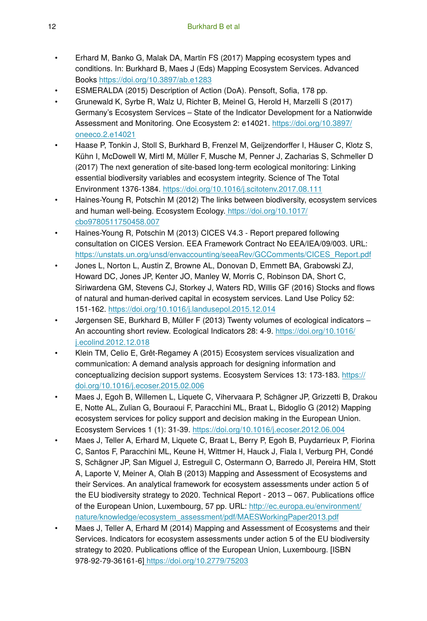- Erhard M, Banko G, Malak DA, Martin FS (2017) Mapping ecosystem types and conditions. In: Burkhard B, Maes J (Eds) Mapping Ecosystem Services. Advanced Books <https://doi.org/10.3897/ab.e1283>
- ESMERALDA (2015) Description of Action (DoA). Pensoft, Sofia, 178 pp.
- Grunewald K, Syrbe R, Walz U, Richter B, Meinel G, Herold H, Marzelli S (2017) Germany's Ecosystem Services – State of the Indicator Development for a Nationwide Assessment and Monitoring. One Ecosystem 2: e14021. [https://doi.org/10.3897/](https://doi.org/10.3897/oneeco.2.e14021) [oneeco.2.e14021](https://doi.org/10.3897/oneeco.2.e14021)
- Haase P, Tonkin J, Stoll S, Burkhard B, Frenzel M, Geijzendorffer I, Häuser C, Klotz S, Kühn I, McDowell W, Mirtl M, Müller F, Musche M, Penner J, Zacharias S, Schmeller D (2017) The next generation of site-based long-term ecological monitoring: Linking essential biodiversity variables and ecosystem integrity. Science of The Total Environment 1376‑1384.<https://doi.org/10.1016/j.scitotenv.2017.08.111>
- Haines-Young R, Potschin M (2012) The links between biodiversity, ecosystem services and human well-being. Ecosystem Ecology. [https://doi.org/10.1017/](https://doi.org/10.1017/cbo9780511750458.007) [cbo9780511750458.007](https://doi.org/10.1017/cbo9780511750458.007)
- Haines-Young R, Potschin M (2013) CICES V4.3 Report prepared following consultation on CICES Version. EEA Framework Contract No EEA/IEA/09/003. URL: [https://unstats.un.org/unsd/envaccounting/seeaRev/GCComments/CICES\\_Report.pdf](https://unstats.un.org/unsd/envaccounting/seeaRev/GCComments/CICES_Report.pdf)
- Jones L, Norton L, Austin Z, Browne AL, Donovan D, Emmett BA, Grabowski ZJ, Howard DC, Jones JP, Kenter JO, Manley W, Morris C, Robinson DA, Short C, Siriwardena GM, Stevens CJ, Storkey J, Waters RD, Willis GF (2016) Stocks and flows of natural and human-derived capital in ecosystem services. Land Use Policy 52: 151‑162. <https://doi.org/10.1016/j.landusepol.2015.12.014>
- Jørgensen SE, Burkhard B, Müller F (2013) Twenty volumes of ecological indicators An accounting short review. Ecological Indicators 28: 4‑9. [https://doi.org/10.1016/](https://doi.org/10.1016/j.ecolind.2012.12.018) [j.ecolind.2012.12.018](https://doi.org/10.1016/j.ecolind.2012.12.018)
- Klein TM, Celio E, Grêt-Regamey A (2015) Ecosystem services visualization and communication: A demand analysis approach for designing information and conceptualizing decision support systems. Ecosystem Services 13: 173-183. [https://](https://doi.org/10.1016/j.ecoser.2015.02.006) [doi.org/10.1016/j.ecoser.2015.02.006](https://doi.org/10.1016/j.ecoser.2015.02.006)
- Maes J, Egoh B, Willemen L, Liquete C, Vihervaara P, Schägner JP, Grizzetti B, Drakou E, Notte AL, Zulian G, Bouraoui F, Paracchini ML, Braat L, Bidoglio G (2012) Mapping ecosystem services for policy support and decision making in the European Union. Ecosystem Services 1 (1): 31‑39. <https://doi.org/10.1016/j.ecoser.2012.06.004>
- Maes J, Teller A, Erhard M, Liquete C, Braat L, Berry P, Egoh B, Puydarrieux P, Fiorina C, Santos F, Paracchini ML, Keune H, Wittmer H, Hauck J, Fiala I, Verburg PH, Condé S, Schägner JP, San Miguel J, Estreguil C, Ostermann O, Barredo JI, Pereira HM, Stott A, Laporte V, Meiner A, Olah B (2013) Mapping and Assessment of Ecosystems and their Services. An analytical framework for ecosystem assessments under action 5 of the EU biodiversity strategy to 2020. Technical Report - 2013 – 067. Publications office of the European Union, Luxembourg, 57 pp. URL: [http://ec.europa.eu/environment/](http://ec.europa.eu/environment/nature/knowledge/ecosystem_assessment/pdf/MAESWorkingPaper2013.pdf) [nature/knowledge/ecosystem\\_assessment/pdf/MAESWorkingPaper2013.pdf](http://ec.europa.eu/environment/nature/knowledge/ecosystem_assessment/pdf/MAESWorkingPaper2013.pdf)
- Maes J, Teller A, Erhard M (2014) Mapping and Assessment of Ecosystems and their Services. Indicators for ecosystem assessments under action 5 of the EU biodiversity strategy to 2020. Publications office of the European Union, Luxembourg. [ISBN 978-92-79-36161-6[\] https://doi.org/10.2779/75203](https://doi.org/10.2779/75203)